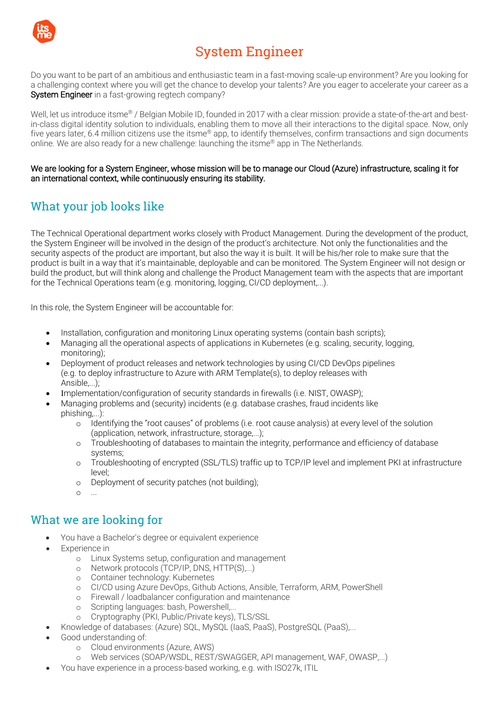

# System Engineer

Do you want to be part of an ambitious and enthusiastic team in a fast-moving scale-up environment? Are you looking for a challenging context where you will get the chance to develop your talents? Are you eager to accelerate your career as a System Engineer in a fast-growing regtech company?

Well, let us introduce itsme<sup>®</sup> / Belgian Mobile ID, founded in 2017 with a clear mission: provide a state-of-the-art and bestin-class digital identity solution to individuals, enabling them to move all their interactions to the digital space. Now, only five years later, 6.4 million citizens use the itsme® app, to identify themselves, confirm transactions and sign documents online. We are also ready for a new challenge: launching the itsme® app in The Netherlands.

We are looking for a System Engineer, whose mission will be to manage our Cloud (Azure) infrastructure, scaling it for an international context, while continuously ensuring its stability.

## What your job looks like

The Technical Operational department works closely with Product Management. During the development of the product, the System Engineer will be involved in the design of the product's architecture. Not only the functionalities and the security aspects of the product are important, but also the way it is built. It will be his/her role to make sure that the product is built in a way that it's maintainable, deployable and can be monitored. The System Engineer will not design or build the product, but will think along and challenge the Product Management team with the aspects that are important for the Technical Operations team (e.g. monitoring, logging, CI/CD deployment,...).

In this role, the System Engineer will be accountable for:

- Installation, configuration and monitoring Linux operating systems (contain bash scripts);
- Managing all the operational aspects of applications in Kubernetes (e.g. scaling, security, logging, monitoring);
- Deployment of product releases and network technologies by using CI/CD DevOps pipelines (e.g. to deploy infrastructure to Azure with ARM Template(s), to deploy releases with Ansible,...);
- Implementation/configuration of security standards in firewalls (i.e. NIST, OWASP);
- Managing problems and (security) incidents (e.g. database crashes, fraud incidents like phishing,...):
	- o Identifying the "root causes" of problems (i.e. root cause analysis) at every level of the solution (application, network, infrastructure, storage,...);
	- o Troubleshooting of databases to maintain the integrity, performance and efficiency of database systems;
	- o Troubleshooting of encrypted (SSL/TLS) traffic up to TCP/IP level and implement PKI at infrastructure level;
	- o Deployment of security patches (not building);
	- $\circ$ ...

### What we are looking for

- You have a Bachelor's degree or equivalent experience
- Experience in
	- o Linux Systems setup, configuration and management
	- o Network protocols (TCP/IP, DNS, HTTP(S),...)
	- o Container technology: Kubernetes
	- o CI/CD using Azure DevOps, Github Actions, Ansible, Terraform, ARM, PowerShell
	- o Firewall / loadbalancer configuration and maintenance
	- o Scripting languages: bash, Powershell....
	- o Cryptography (PKI, Public/Private keys), TLS/SSL
- Knowledge of databases: (Azure) SQL, MySQL (IaaS, PaaS), PostgreSQL (PaaS),...
- Good understanding of:
	- o Cloud environments (Azure, AWS)
	- o Web services (SOAP/WSDL, REST/SWAGGER, API management, WAF, OWASP,...)
- You have experience in a process-based working, e.g. with ISO27k, ITIL